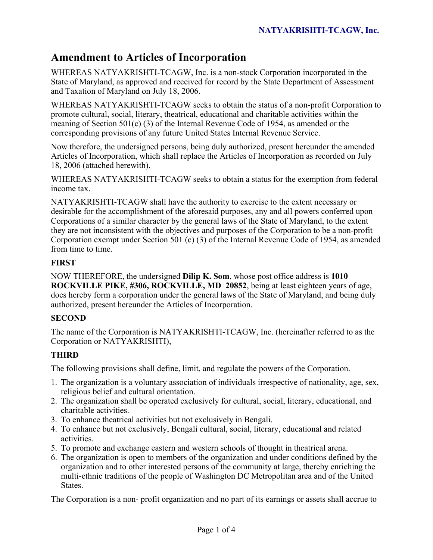# **Amendment to Articles of Incorporation**

WHEREAS NATYAKRISHTI-TCAGW, Inc. is a non-stock Corporation incorporated in the State of Maryland, as approved and received for record by the State Department of Assessment and Taxation of Maryland on July 18, 2006.

WHEREAS NATYAKRISHTI-TCAGW seeks to obtain the status of a non-profit Corporation to promote cultural, social, literary, theatrical, educational and charitable activities within the meaning of Section 501(c) (3) of the Internal Revenue Code of 1954, as amended or the corresponding provisions of any future United States Internal Revenue Service.

Now therefore, the undersigned persons, being duly authorized, present hereunder the amended Articles of Incorporation, which shall replace the Articles of Incorporation as recorded on July 18, 2006 (attached herewith).

WHEREAS NATYAKRISHTI-TCAGW seeks to obtain a status for the exemption from federal income tax.

NATYAKRISHTI-TCAGW shall have the authority to exercise to the extent necessary or desirable for the accomplishment of the aforesaid purposes, any and all powers conferred upon Corporations of a similar character by the general laws of the State of Maryland, to the extent they are not inconsistent with the objectives and purposes of the Corporation to be a non-profit Corporation exempt under Section 501 (c) (3) of the Internal Revenue Code of 1954, as amended from time to time.

# **FIRST**

NOW THEREFORE, the undersigned **Dilip K. Som**, whose post office address is **1010 ROCKVILLE PIKE, #306, ROCKVILLE, MD 20852**, being at least eighteen years of age, does hereby form a corporation under the general laws of the State of Maryland, and being duly authorized, present hereunder the Articles of Incorporation.

## **SECOND**

The name of the Corporation is NATYAKRISHTI-TCAGW, Inc. (hereinafter referred to as the Corporation or NATYAKRISHTI),

# **THIRD**

The following provisions shall define, limit, and regulate the powers of the Corporation.

- 1. The organization is a voluntary association of individuals irrespective of nationality, age, sex, religious belief and cultural orientation.
- 2. The organization shall be operated exclusively for cultural, social, literary, educational, and charitable activities.
- 3. To enhance theatrical activities but not exclusively in Bengali.
- 4. To enhance but not exclusively, Bengali cultural, social, literary, educational and related activities.
- 5. To promote and exchange eastern and western schools of thought in theatrical arena.
- 6. The organization is open to members of the organization and under conditions defined by the organization and to other interested persons of the community at large, thereby enriching the multi-ethnic traditions of the people of Washington DC Metropolitan area and of the United States.

The Corporation is a non- profit organization and no part of its earnings or assets shall accrue to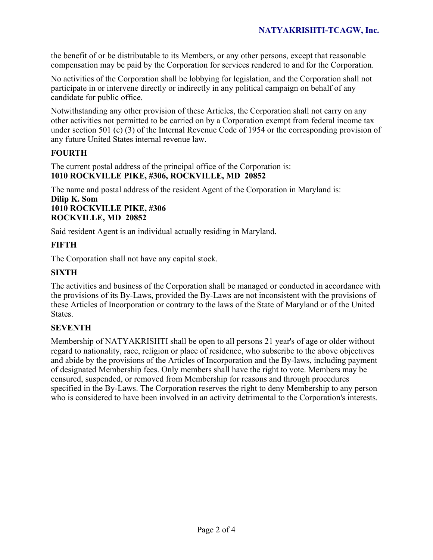the benefit of or be distributable to its Members, or any other persons, except that reasonable compensation may be paid by the Corporation for services rendered to and for the Corporation.

No activities of the Corporation shall be lobbying for legislation, and the Corporation shall not participate in or intervene directly or indirectly in any political campaign on behalf of any candidate for public office.

Notwithstanding any other provision of these Articles, the Corporation shall not carry on any other activities not permitted to be carried on by a Corporation exempt from federal income tax under section 501 (c) (3) of the Internal Revenue Code of 1954 or the corresponding provision of any future United States internal revenue law.

### **FOURTH**

The current postal address of the principal office of the Corporation is: **1010 ROCKVILLE PIKE, #306, ROCKVILLE, MD 20852** 

The name and postal address of the resident Agent of the Corporation in Maryland is: **Dilip K. Som** 

## **1010 ROCKVILLE PIKE, #306 ROCKVILLE, MD 20852**

Said resident Agent is an individual actually residing in Maryland.

## **FIFTH**

The Corporation shall not have any capital stock.

## **SIXTH**

The activities and business of the Corporation shall be managed or conducted in accordance with the provisions of its By-Laws, provided the By-Laws are not inconsistent with the provisions of these Articles of Incorporation or contrary to the laws of the State of Maryland or of the United States.

## **SEVENTH**

Membership of NATYAKRISHTI shall be open to all persons 21 year's of age or older without regard to nationality, race, religion or place of residence, who subscribe to the above objectives and abide by the provisions of the Articles of Incorporation and the By-laws, including payment of designated Membership fees. Only members shall have the right to vote. Members may be censured, suspended, or removed from Membership for reasons and through procedures specified in the By-Laws. The Corporation reserves the right to deny Membership to any person who is considered to have been involved in an activity detrimental to the Corporation's interests.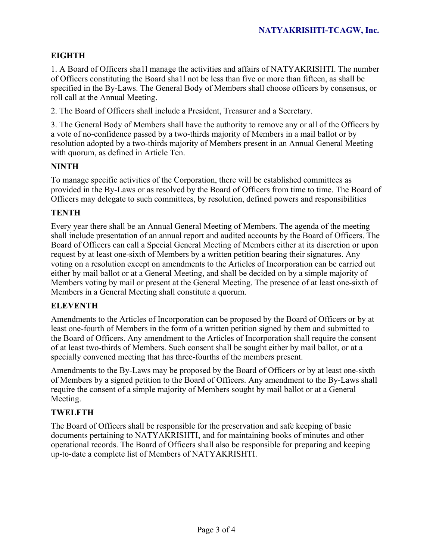# **EIGHTH**

1. A Board of Officers sha1l manage the activities and affairs of NATYAKRISHTI. The number of Officers constituting the Board sha1l not be less than five or more than fifteen, as shall be specified in the By-Laws. The General Body of Members shall choose officers by consensus, or roll call at the Annual Meeting.

2. The Board of Officers shall include a President, Treasurer and a Secretary.

3. The General Body of Members shall have the authority to remove any or all of the Officers by a vote of no-confidence passed by a two-thirds majority of Members in a mail ballot or by resolution adopted by a two-thirds majority of Members present in an Annual General Meeting with quorum, as defined in Article Ten.

#### **NINTH**

To manage specific activities of the Corporation, there will be established committees as provided in the By-Laws or as resolved by the Board of Officers from time to time. The Board of Officers may delegate to such committees, by resolution, defined powers and responsibilities

#### **TENTH**

Every year there shall be an Annual General Meeting of Members. The agenda of the meeting shall include presentation of an annual report and audited accounts by the Board of Officers. The Board of Officers can call a Special General Meeting of Members either at its discretion or upon request by at least one-sixth of Members by a written petition bearing their signatures. Any voting on a resolution except on amendments to the Articles of Incorporation can be carried out either by mail ballot or at a General Meeting, and shall be decided on by a simple majority of Members voting by mail or present at the General Meeting. The presence of at least one-sixth of Members in a General Meeting shall constitute a quorum.

#### **ELEVENTH**

Amendments to the Articles of Incorporation can be proposed by the Board of Officers or by at least one-fourth of Members in the form of a written petition signed by them and submitted to the Board of Officers. Any amendment to the Articles of Incorporation shall require the consent of at least two-thirds of Members. Such consent shall be sought either by mail ballot, or at a specially convened meeting that has three-fourths of the members present.

Amendments to the By-Laws may be proposed by the Board of Officers or by at least one-sixth of Members by a signed petition to the Board of Officers. Any amendment to the By-Laws shall require the consent of a simple majority of Members sought by mail ballot or at a General Meeting.

## **TWELFTH**

The Board of Officers shall be responsible for the preservation and safe keeping of basic documents pertaining to NATYAKRISHTI, and for maintaining books of minutes and other operational records. The Board of Officers shall also be responsible for preparing and keeping up-to-date a complete list of Members of NATYAKRISHTI.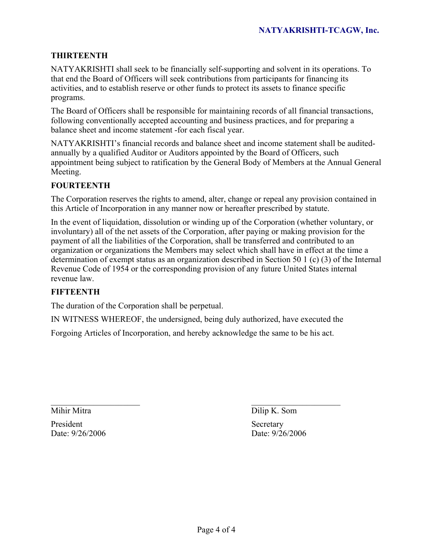#### **THIRTEENTH**

NATYAKRISHTI shall seek to be financially self-supporting and solvent in its operations. To that end the Board of Officers will seek contributions from participants for financing its activities, and to establish reserve or other funds to protect its assets to finance specific programs.

The Board of Officers shall be responsible for maintaining records of all financial transactions, following conventionally accepted accounting and business practices, and for preparing a balance sheet and income statement -for each fiscal year.

NATYAKRISHTI's financial records and balance sheet and income statement shall be auditedannually by a qualified Auditor or Auditors appointed by the Board of Officers, such appointment being subject to ratification by the General Body of Members at the Annual General Meeting.

#### **FOURTEENTH**

The Corporation reserves the rights to amend, alter, change or repeal any provision contained in this Article of Incorporation in any manner now or hereafter prescribed by statute.

In the event of liquidation, dissolution or winding up of the Corporation (whether voluntary, or involuntary) all of the net assets of the Corporation, after paying or making provision for the payment of all the liabilities of the Corporation, shall be transferred and contributed to an organization or organizations the Members may select which shall have in effect at the time a determination of exempt status as an organization described in Section 50 1 (c) (3) of the Internal Revenue Code of 1954 or the corresponding provision of any future United States internal revenue law.

#### **FIFTEENTH**

The duration of the Corporation shall be perpetual.

IN WITNESS WHEREOF, the undersigned, being duly authorized, have executed the

Forgoing Articles of Incorporation, and hereby acknowledge the same to be his act.

President Secretary

\_\_\_\_\_\_\_\_\_\_\_\_\_\_\_\_\_\_\_\_\_ \_\_\_\_\_\_\_\_\_\_\_\_\_\_\_\_\_\_\_\_\_ Mihir Mitra **Dilip K. Som** 

Date: 9/26/2006 Date: 9/26/2006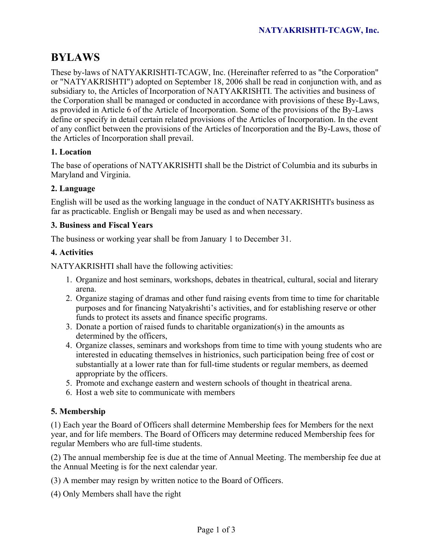# **BYLAWS**

These by-laws of NATYAKRISHTI-TCAGW, Inc. (Hereinafter referred to as "the Corporation" or "NATYAKRISHTI") adopted on September 18, 2006 shall be read in conjunction with, and as subsidiary to, the Articles of Incorporation of NATYAKRISHTI. The activities and business of the Corporation shall be managed or conducted in accordance with provisions of these By-Laws, as provided in Article 6 of the Article of Incorporation. Some of the provisions of the By-Laws define or specify in detail certain related provisions of the Articles of Incorporation. In the event of any conflict between the provisions of the Articles of Incorporation and the By-Laws, those of the Articles of Incorporation shall prevail.

## **1. Location**

The base of operations of NATYAKRISHTI shall be the District of Columbia and its suburbs in Maryland and Virginia.

# **2. Language**

English will be used as the working language in the conduct of NATYAKRISHTI's business as far as practicable. English or Bengali may be used as and when necessary.

## **3. Business and Fiscal Years**

The business or working year shall be from January 1 to December 31.

## **4. Activities**

NATYAKRISHTI shall have the following activities:

- 1. Organize and host seminars, workshops, debates in theatrical, cultural, social and literary arena.
- 2. Organize staging of dramas and other fund raising events from time to time for charitable purposes and for financing Natyakrishti's activities, and for establishing reserve or other funds to protect its assets and finance specific programs.
- 3. Donate a portion of raised funds to charitable organization(s) in the amounts as determined by the officers,
- 4. Organize classes, seminars and workshops from time to time with young students who are interested in educating themselves in histrionics, such participation being free of cost or substantially at a lower rate than for full-time students or regular members, as deemed appropriate by the officers.
- 5. Promote and exchange eastern and western schools of thought in theatrical arena.
- 6. Host a web site to communicate with members

## **5. Membership**

(1) Each year the Board of Officers shall determine Membership fees for Members for the next year, and for life members. The Board of Officers may determine reduced Membership fees for regular Members who are full-time students.

(2) The annual membership fee is due at the time of Annual Meeting. The membership fee due at the Annual Meeting is for the next calendar year.

- (3) A member may resign by written notice to the Board of Officers.
- (4) Only Members shall have the right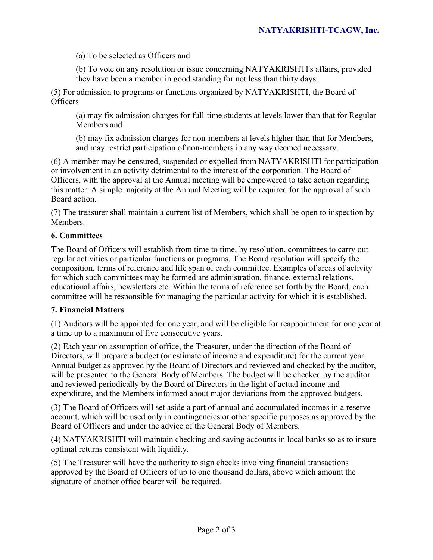(a) To be selected as Officers and

(b) To vote on any resolution or issue concerning NATYAKRISHTI's affairs, provided they have been a member in good standing for not less than thirty days.

(5) For admission to programs or functions organized by NATYAKRISHTI, the Board of **Officers** 

(a) may fix admission charges for full-time students at levels lower than that for Regular Members and

(b) may fix admission charges for non-members at levels higher than that for Members, and may restrict participation of non-members in any way deemed necessary.

(6) A member may be censured, suspended or expelled from NATYAKRISHTI for participation or involvement in an activity detrimental to the interest of the corporation. The Board of Officers, with the approval at the Annual meeting will be empowered to take action regarding this matter. A simple majority at the Annual Meeting will be required for the approval of such Board action.

(7) The treasurer shall maintain a current list of Members, which shall be open to inspection by Members.

### **6. Committees**

The Board of Officers will establish from time to time, by resolution, committees to carry out regular activities or particular functions or programs. The Board resolution will specify the composition, terms of reference and life span of each committee. Examples of areas of activity for which such committees may be formed are administration, finance, external relations, educational affairs, newsletters etc. Within the terms of reference set forth by the Board, each committee will be responsible for managing the particular activity for which it is established.

#### **7. Financial Matters**

(1) Auditors will be appointed for one year, and will be eligible for reappointment for one year at a time up to a maximum of five consecutive years.

(2) Each year on assumption of office, the Treasurer, under the direction of the Board of Directors, will prepare a budget (or estimate of income and expenditure) for the current year. Annual budget as approved by the Board of Directors and reviewed and checked by the auditor, will be presented to the General Body of Members. The budget will be checked by the auditor and reviewed periodically by the Board of Directors in the light of actual income and expenditure, and the Members informed about major deviations from the approved budgets.

(3) The Board of Officers will set aside a part of annual and accumulated incomes in a reserve account, which will be used only in contingencies or other specific purposes as approved by the Board of Officers and under the advice of the General Body of Members.

(4) NATYAKRISHTI will maintain checking and saving accounts in local banks so as to insure optimal returns consistent with liquidity.

(5) The Treasurer will have the authority to sign checks involving financial transactions approved by the Board of Officers of up to one thousand dollars, above which amount the signature of another office bearer will be required.